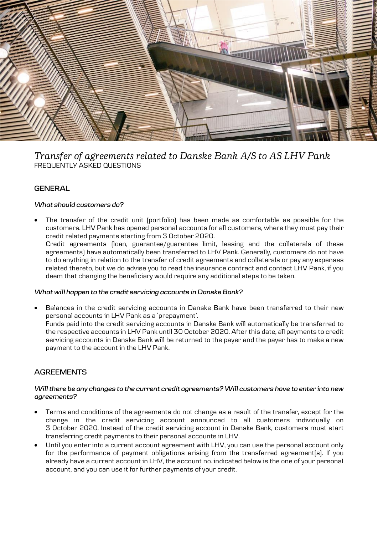

# *Transfer of agreements related to Danske Bank A/S to AS LHV Pank* FREQUENTLY ASKED QUESTIONS

## **GENERAL**

## *What should customers do?*

 The transfer of the credit unit (portfolio) has been made as comfortable as possible for the customers. LHV Pank has opened personal accounts for all customers, where they must pay their credit related payments starting from 3 October 2020. Credit agreements (loan, guarantee/guarantee limit, leasing and the collaterals of these agreements) have automatically been transferred to LHV Pank. Generally, customers do not have to do anything in relation to the transfer of credit agreements and collaterals or pay any expenses related thereto, but we do advise you to read the insurance contract and contact LHV Pank, if you deem that changing the beneficiary would require any additional steps to be taken.

#### *What will happen to the credit servicing accounts in Danske Bank?*

 Balances in the credit servicing accounts in Danske Bank have been transferred to their new personal accounts in LHV Pank as a 'prepayment'. Funds paid into the credit servicing accounts in Danske Bank will automatically be transferred to the respective accounts in LHV Pank until 30 October 2020. After this date, all payments to credit servicing accounts in Danske Bank will be returned to the payer and the payer has to make a new payment to the account in the LHV Pank.

## **AGREEMENTS**

#### *Will there be any changes to the current credit agreements? Will customers have to enter into new agreements?*

- Terms and conditions of the agreements do not change as a result of the transfer, except for the change in the credit servicing account announced to all customers individually on 3 October 2020. Instead of the credit servicing account in Danske Bank, customers must start transferring credit payments to their personal accounts in LHV.
- Until you enter into a current account agreement with LHV, you can use the personal account only for the performance of payment obligations arising from the transferred agreement[s]. If you already have a current account in LHV, the account no. indicated below is the one of your personal account, and you can use it for further payments of your credit.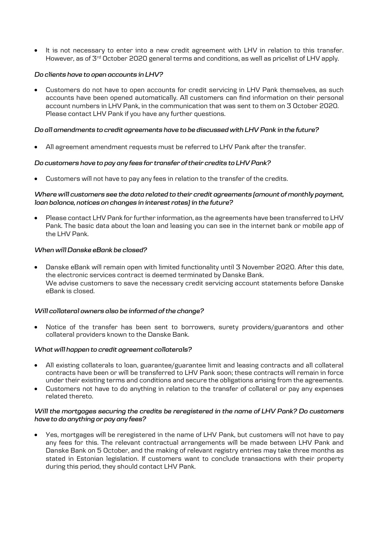It is not necessary to enter into a new credit agreement with LHV in relation to this transfer. However, as of 3<sup>rd</sup> October 2020 general terms and conditions, as well as pricelist of LHV apply.

## *Do clients have to open accounts in LHV?*

 Customers do not have to open accounts for credit servicing in LHV Pank themselves, as such accounts have been opened automatically. All customers can find information on their personal account numbers in LHV Pank, in the communication that was sent to them on 3 October 2020. Please contact LHV Pank if you have any further questions.

## *Do all amendments to credit agreements have to be discussed with LHV Pank in the future?*

All agreement amendment requests must be referred to LHV Pank after the transfer.

## *Do customers have to pay any fees for transfer of their credits to LHV Pank?*

Customers will not have to pay any fees in relation to the transfer of the credits.

## *Where will customers see the data related to their credit agreements (amount of monthly payment, loan balance, notices on changes in interest rates) in the future?*

 Please contact LHV Pank for further information, as the agreements have been transferred to LHV Pank. The basic data about the loan and leasing you can see in the internet bank or mobile app of the LHV Pank.

#### *When will Danske eBank be closed?*

 Danske eBank will remain open with limited functionality until 3 November 2020. After this date, the electronic services contract is deemed terminated by Danske Bank. We advise customers to save the necessary credit servicing account statements before Danske eBank is closed.

#### *Will collateral owners also be informed of the change?*

 Notice of the transfer has been sent to borrowers, surety providers/guarantors and other collateral providers known to the Danske Bank.

#### *What will happen to credit agreement collaterals?*

- All existing collaterals to loan, guarantee/guarantee limit and leasing contracts and all collateral contracts have been or will be transferred to LHV Pank soon; these contracts will remain in force under their existing terms and conditions and secure the obligations arising from the agreements.
- Customers not have to do anything in relation to the transfer of collateral or pay any expenses related thereto.

#### *Will the mortgages securing the credits be reregistered in the name of LHV Pank? Do customers have to do anything or pay any fees?*

 Yes, mortgages will be reregistered in the name of LHV Pank, but customers will not have to pay any fees for this. The relevant contractual arrangements will be made between LHV Pank and Danske Bank on 5 October, and the making of relevant registry entries may take three months as stated in Estonian legislation. If customers want to conclude transactions with their property during this period, they should contact LHV Pank.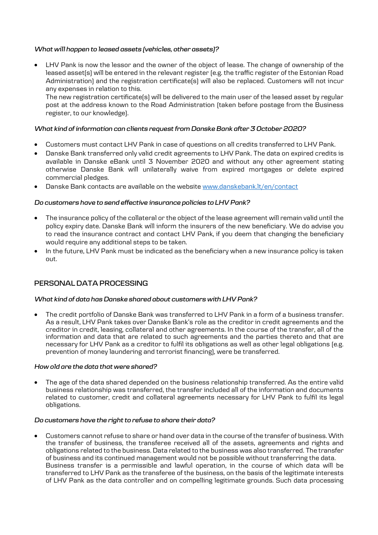## *What will happen to leased assets (vehicles, other assets)?*

 LHV Pank is now the lessor and the owner of the object of lease. The change of ownership of the leased asset(s) will be entered in the relevant register (e.g. the traffic register of the Estonian Road Administration) and the registration certificate(s) will also be replaced. Customers will not incur any expenses in relation to this.

The new registration certificate(s) will be delivered to the main user of the leased asset by regular post at the address known to the Road Administration (taken before postage from the Business register, to our knowledge).

## *What kind of information can clients request from Danske Bank after 3 October 2020?*

- Customers must contact LHV Pank in case of questions on all credits transferred to LHV Pank.
- Danske Bank transferred only valid credit agreements to LHV Pank. The data on expired credits is available in Danske eBank until 3 November 2020 and without any other agreement stating otherwise Danske Bank will unilaterally waive from expired mortgages or delete expired commercial pledges.
- Danske Bank contacts are available on the website [www.danskebank.lt/en/](http://www.danskebank.lt/en)contact

## *Do customers have to send effective insurance policies to LHV Pank?*

- The insurance policy of the collateral or the object of the lease agreement will remain valid until the policy expiry date. Danske Bank will inform the insurers of the new beneficiary. We do advise you to read the insurance contract and contact LHV Pank, if you deem that changing the beneficiary would require any additional steps to be taken.
- In the future, LHV Pank must be indicated as the beneficiary when a new insurance policy is taken out.

## **PERSONAL DATA PROCESSING**

#### *What kind of data has Danske shared about customers with LHV Pank?*

 The credit portfolio of Danske Bank was transferred to LHV Pank in a form of a business transfer. As a result, LHV Pank takes over Danske Bank's role as the creditor in credit agreements and the creditor in credit, leasing, collateral and other agreements. In the course of the transfer, all of the information and data that are related to such agreements and the parties thereto and that are necessary for LHV Pank as a creditor to fulfil its obligations as well as other legal obligations (e.g. prevention of money laundering and terrorist financing), were be transferred.

#### *How old are the data that were shared?*

 The age of the data shared depended on the business relationship transferred. As the entire valid business relationship was transferred, the transfer included all of the information and documents related to customer, credit and collateral agreements necessary for LHV Pank to fulfil its legal obligations.

#### *Do customers have the right to refuse to share their data?*

 Customers cannot refuse to share or hand over data in the course of the transfer of business. With the transfer of business, the transferee received all of the assets, agreements and rights and obligations related to the business. Data related to the business was also transferred. The transfer of business and its continued management would not be possible without transferring the data. Business transfer is a permissible and lawful operation, in the course of which data will be transferred to LHV Pank as the transferee of the business, on the basis of the legitimate interests of LHV Pank as the data controller and on compelling legitimate grounds. Such data processing